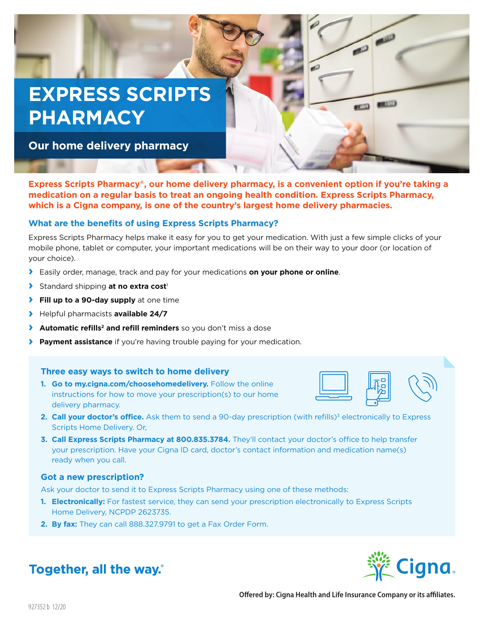# **EXPRESS SCRIPTS PHARMACY**

**Our home delivery pharmacy**

**Express Scripts Pharmacy®, our home delivery pharmacy, is a convenient option if you're taking a medication on a regular basis to treat an ongoing health condition. Express Scripts Pharmacy, which is a Cigna company, is one of the country's largest home delivery pharmacies.** 

### **What are the benefits of using Express Scripts Pharmacy?**

Express Scripts Pharmacy helps make it easy for you to get your medication. With just a few simple clicks of your mobile phone, tablet or computer, your important medications will be on their way to your door (or location of your choice).

- **›** Easily order, manage, track and pay for your medications **on your phone or online**.
- **›** Standard shipping **at no extra cost**<sup>1</sup>
- **› Fill up to a 90-day supply** at one time
- **›** Helpful pharmacists **available 24/7**
- **› Automatic refills2 and refill reminders** so you don't miss a dose
- **› Payment assistance** if you're having trouble paying for your medication.

#### **Three easy ways to switch to home delivery**

**1. Go to my.cigna.com/choosehomedelivery.** Follow the online instructions for how to move your prescription(s) to our home delivery pharmacy.



**COLLEGE CALL** 

**SEED CITY** 

 $\overline{a}$ 

- **2. Call your doctor's office.** Ask them to send a 90-day prescription (with refills)<sup>3</sup> electronically to Express Scripts Home Delivery. Or,
- **3. Call Express Scripts Pharmacy at 800.835.3784.** They'll contact your doctor's office to help transfer your prescription. Have your Cigna ID card, doctor's contact information and medication name(s) ready when you call.

#### **Got a new prescription?**

Ask your doctor to send it to Express Scripts Pharmacy using one of these methods:

- **1. Electronically:** For fastest service, they can send your prescription electronically to Express Scripts Home Delivery, NCPDP 2623735.
- **2. By fax:** They can call 888.327.9791 to get a Fax Order Form.



# **Together, all the way.**